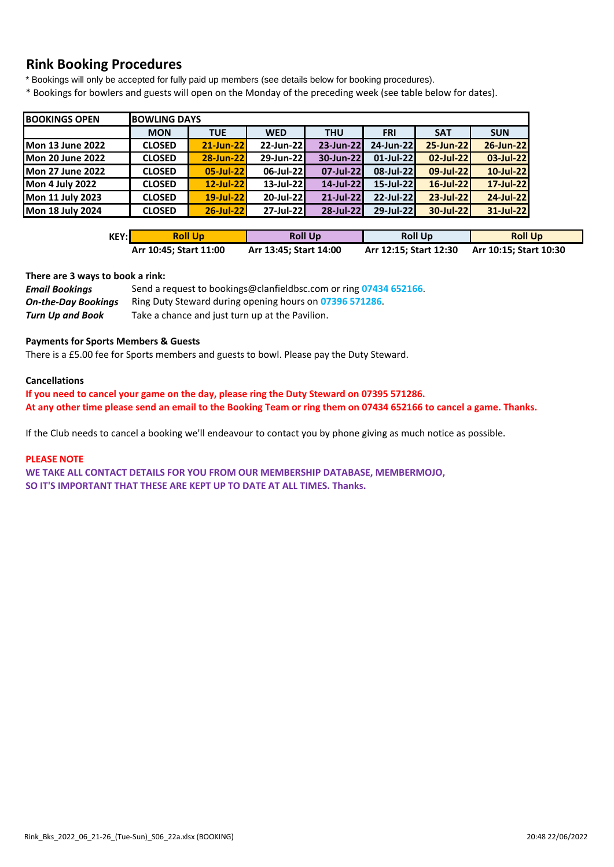# **Rink Booking Procedures**

\* Bookings will only be accepted for fully paid up members (see details below for booking procedures).

\* Bookings for bowlers and guests will open on the Monday of the preceding week (see table below for dates).

| <b>BOOKINGS OPEN</b>    | <b>BOWLING DAYS</b> |            |              |            |              |              |            |
|-------------------------|---------------------|------------|--------------|------------|--------------|--------------|------------|
|                         | <b>MON</b>          | <b>TUE</b> | <b>WED</b>   | <b>THU</b> | <b>FRI</b>   | <b>SAT</b>   | <b>SUN</b> |
| <b>Mon 13 June 2022</b> | <b>CLOSED</b>       | 21-Jun-22  | 22-Jun-22    | 23-Jun-22  | 24-Jun-22    | 25-Jun-22    | 26-Jun-22  |
| <b>Mon 20 June 2022</b> | <b>CLOSED</b>       | 28-Jun-22  | 29-Jun-22    | 30-Jun-22  | $01$ -Jul-22 | 02-Jul-22    | 03-Jul-22  |
| <b>Mon 27 June 2022</b> | <b>CLOSED</b>       | 05-Jul-22  | 06-Jul-22    | 07-Jul-22  | 08-Jul-22    | 09-Jul-22    | 10-Jul-22  |
| <b>Mon 4 July 2022</b>  | <b>CLOSED</b>       | 12-Jul-22  | $13$ -Jul-22 | 14-Jul-22  | $15$ -Jul-22 | $16$ -Jul-22 | 17-Jul-22  |
| Mon 11 July 2023        | <b>CLOSED</b>       | 19-Jul-22  | 20-Jul-22    | 21-Jul-22  | 22-Jul-22    | 23-Jul-22    | 24-Jul-22  |
| <b>Mon 18 July 2024</b> | <b>CLOSED</b>       | 26-Jul-22  | $27$ -Jul-22 | 28-Jul-22  | 29-Jul-22    | 30-Jul-22    | 31-Jul-22  |

| KEY:l | <b>Roll Up</b>         | <b>Roll Up</b>         | <b>Roll Up</b>         | <b>Roll Up</b>         |
|-------|------------------------|------------------------|------------------------|------------------------|
|       | Arr 10:45; Start 11:00 | Arr 13:45; Start 14:00 | Arr 12:15; Start 12:30 | Arr 10:15; Start 10:30 |

#### **There are 3 ways to book a rink:**

| <b>Email Bookings</b>      | Send a request to bookings@clanfieldbsc.com or ring 07434 652166. |
|----------------------------|-------------------------------------------------------------------|
| <b>On-the-Day Bookings</b> | Ring Duty Steward during opening hours on 07396 571286.           |
| Turn Up and Book           | Take a chance and just turn up at the Pavilion.                   |

#### **Payments for Sports Members & Guests**

There is a £5.00 fee for Sports members and guests to bowl. Please pay the Duty Steward.

#### **Cancellations**

**If you need to cancel your game on the day, please ring the Duty Steward on 07395 571286. At any other time please send an email to the Booking Team or ring them on 07434 652166 to cancel a game. Thanks.**

If the Club needs to cancel a booking we'll endeavour to contact you by phone giving as much notice as possible.

#### **PLEASE NOTE**

**WE TAKE ALL CONTACT DETAILS FOR YOU FROM OUR MEMBERSHIP DATABASE, MEMBERMOJO, SO IT'S IMPORTANT THAT THESE ARE KEPT UP TO DATE AT ALL TIMES. Thanks.**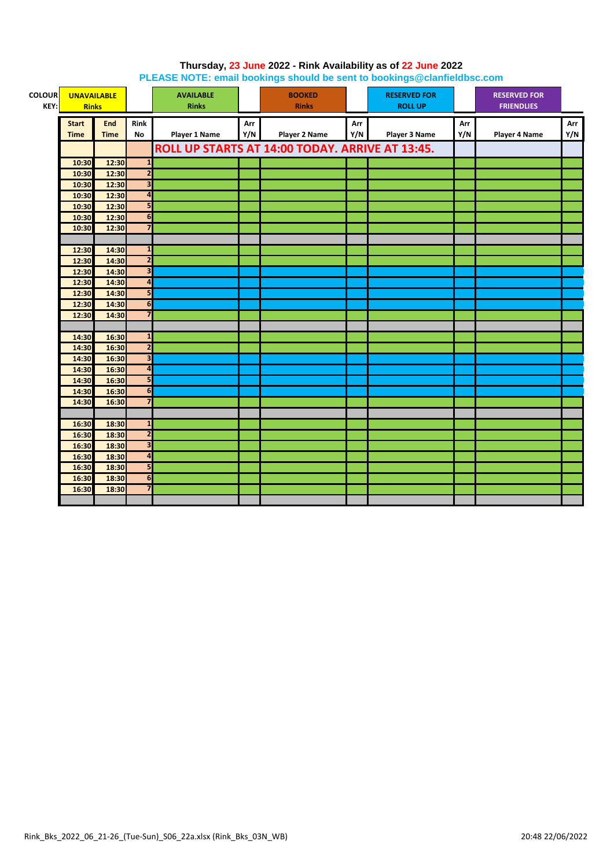| <b>COLOUR</b><br>KEY: | <b>UNAVAILABLE</b><br><b>Rinks</b> |             |                         | <b>AVAILABLE</b><br><b>Rinks</b> |     | <b>BOOKED</b><br><b>Rinks</b>                   |     | <b>RESERVED FOR</b><br><b>ROLL UP</b> |     | <b>RESERVED FOR</b><br><b>FRIENDLIES</b> |     |
|-----------------------|------------------------------------|-------------|-------------------------|----------------------------------|-----|-------------------------------------------------|-----|---------------------------------------|-----|------------------------------------------|-----|
|                       | <b>Start</b>                       | End         | <b>Rink</b>             |                                  | Arr |                                                 | Arr |                                       | Arr |                                          | Arr |
|                       | <b>Time</b>                        | <b>Time</b> | No                      | Player 1 Name                    | Y/N | Player 2 Name                                   | Y/N | Player 3 Name                         | Y/N | Player 4 Name                            | Y/N |
|                       |                                    |             |                         |                                  |     | ROLL UP STARTS AT 14:00 TODAY. ARRIVE AT 13:45. |     |                                       |     |                                          |     |
|                       | 10:30                              | 12:30       | $\mathbf{1}$            |                                  |     |                                                 |     |                                       |     |                                          |     |
|                       | 10:30                              | 12:30       | $\overline{2}$          |                                  |     |                                                 |     |                                       |     |                                          |     |
|                       | 10:30                              | 12:30       | $\overline{\mathbf{3}}$ |                                  |     |                                                 |     |                                       |     |                                          |     |
|                       | 10:30                              | 12:30       | $\overline{4}$          |                                  |     |                                                 |     |                                       |     |                                          |     |
|                       | 10:30                              | 12:30       | 5                       |                                  |     |                                                 |     |                                       |     |                                          |     |
|                       | 10:30                              | 12:30       | 6                       |                                  |     |                                                 |     |                                       |     |                                          |     |
|                       | 10:30                              | 12:30       | $\overline{\mathbf{z}}$ |                                  |     |                                                 |     |                                       |     |                                          |     |
|                       |                                    |             |                         |                                  |     |                                                 |     |                                       |     |                                          |     |
|                       | 12:30                              | 14:30       | $\mathbf{1}$            |                                  |     |                                                 |     |                                       |     |                                          |     |
|                       | 12:30                              | 14:30       | $\overline{\mathbf{c}}$ |                                  |     |                                                 |     |                                       |     |                                          |     |
|                       | 12:30                              | 14:30       | $\overline{\mathbf{3}}$ |                                  |     |                                                 |     |                                       |     |                                          |     |
|                       | 12:30                              | 14:30       | $\overline{\mathbf{a}}$ |                                  |     |                                                 |     |                                       |     |                                          |     |
|                       | 12:30                              | 14:30       | 5                       |                                  |     |                                                 |     |                                       |     |                                          |     |
|                       | 12:30                              | 14:30       | 6                       |                                  |     |                                                 |     |                                       |     |                                          |     |
|                       | 12:30                              | 14:30       | $\overline{7}$          |                                  |     |                                                 |     |                                       |     |                                          |     |
|                       |                                    |             |                         |                                  |     |                                                 |     |                                       |     |                                          |     |
|                       | 14:30                              | 16:30       | $\mathbf{1}$            |                                  |     |                                                 |     |                                       |     |                                          |     |
|                       | 14:30                              | 16:30       | $\overline{\mathbf{c}}$ |                                  |     |                                                 |     |                                       |     |                                          |     |
|                       | 14:30                              | 16:30       | $\overline{\mathbf{3}}$ |                                  |     |                                                 |     |                                       |     |                                          |     |
|                       | 14:30                              | 16:30       | $\overline{\mathbf{a}}$ |                                  |     |                                                 |     |                                       |     |                                          |     |
|                       | 14:30                              | 16:30       | 5                       |                                  |     |                                                 |     |                                       |     |                                          |     |
|                       | 14:30                              | 16:30       | $\overline{6}$          |                                  |     |                                                 |     |                                       |     |                                          |     |
|                       | 14:30                              | 16:30       | 7                       |                                  |     |                                                 |     |                                       |     |                                          |     |
|                       |                                    |             |                         |                                  |     |                                                 |     |                                       |     |                                          |     |
|                       | 16:30                              | 18:30       | $\mathbf{1}$            |                                  |     |                                                 |     |                                       |     |                                          |     |
|                       | 16:30                              | 18:30       | $\overline{2}$          |                                  |     |                                                 |     |                                       |     |                                          |     |
|                       | 16:30                              | 18:30       | 3                       |                                  |     |                                                 |     |                                       |     |                                          |     |
|                       | 16:30                              | 18:30       | $\overline{a}$          |                                  |     |                                                 |     |                                       |     |                                          |     |
|                       | 16:30                              | 18:30       | 5                       |                                  |     |                                                 |     |                                       |     |                                          |     |
|                       | 16:30                              | 18:30       | 6                       |                                  |     |                                                 |     |                                       |     |                                          |     |
|                       | 16:30                              | 18:30       | $\overline{7}$          |                                  |     |                                                 |     |                                       |     |                                          |     |
|                       |                                    |             |                         |                                  |     |                                                 |     |                                       |     |                                          |     |

## **Thursday, 23 June 2022 - Rink Availability as of 22 June 2022 PLEASE NOTE: email bookings should be sent to bookings@clanfieldbsc.com**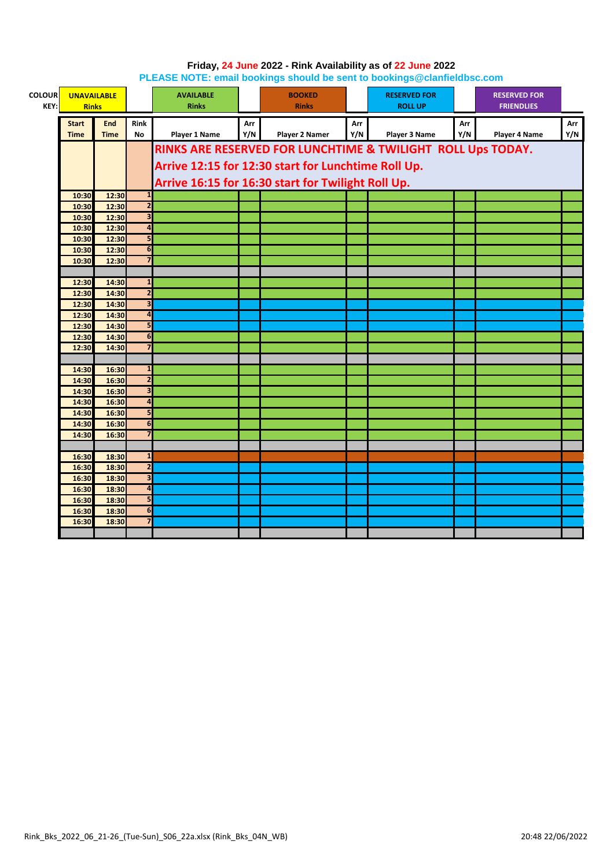| <b>COLOUR</b><br>KEY: |                | <b>UNAVAILABLE</b><br><b>Rinks</b> |                                | <b>AVAILABLE</b><br><b>Rinks</b> |     | <b>BOOKED</b><br><b>Rinks</b>                               |     | <b>RESERVED FOR</b><br><b>ROLL UP</b> |     | <b>RESERVED FOR</b><br><b>FRIENDLIES</b> |     |
|-----------------------|----------------|------------------------------------|--------------------------------|----------------------------------|-----|-------------------------------------------------------------|-----|---------------------------------------|-----|------------------------------------------|-----|
|                       | <b>Start</b>   | <b>End</b>                         | <b>Rink</b>                    |                                  | Arr |                                                             | Arr |                                       | Arr |                                          | Arr |
|                       | <b>Time</b>    | <b>Time</b>                        | <b>No</b>                      | Player 1 Name                    | Y/N | Player 2 Namer                                              | Y/N | Player 3 Name                         | Y/N | Player 4 Name                            | Y/N |
|                       |                |                                    |                                |                                  |     | RINKS ARE RESERVED FOR LUNCHTIME & TWILIGHT ROLL Ups TODAY. |     |                                       |     |                                          |     |
|                       |                |                                    |                                |                                  |     |                                                             |     |                                       |     |                                          |     |
|                       |                |                                    |                                |                                  |     | Arrive 12:15 for 12:30 start for Lunchtime Roll Up.         |     |                                       |     |                                          |     |
|                       |                |                                    |                                |                                  |     | Arrive 16:15 for 16:30 start for Twilight Roll Up.          |     |                                       |     |                                          |     |
|                       | 10:30          | 12:30                              | $\mathbf{1}$                   |                                  |     |                                                             |     |                                       |     |                                          |     |
|                       | 10:30          | 12:30                              | $\overline{2}$                 |                                  |     |                                                             |     |                                       |     |                                          |     |
|                       | 10:30          | 12:30                              | $\overline{\mathbf{3}}$        |                                  |     |                                                             |     |                                       |     |                                          |     |
|                       | 10:30          | 12:30                              | $\overline{4}$                 |                                  |     |                                                             |     |                                       |     |                                          |     |
|                       | 10:30          | 12:30                              | 5                              |                                  |     |                                                             |     |                                       |     |                                          |     |
|                       | 10:30          | 12:30                              | $6\overline{6}$                |                                  |     |                                                             |     |                                       |     |                                          |     |
|                       | 10:30          | 12:30                              | $\overline{7}$                 |                                  |     |                                                             |     |                                       |     |                                          |     |
|                       |                |                                    |                                |                                  |     |                                                             |     |                                       |     |                                          |     |
|                       | 12:30          | 14:30                              | $\mathbf{1}$<br>$\overline{2}$ |                                  |     |                                                             |     |                                       |     |                                          |     |
|                       | 12:30          | 14:30                              | $\overline{\mathbf{3}}$        |                                  |     |                                                             |     |                                       |     |                                          |     |
|                       | 12:30<br>12:30 | 14:30<br>14:30                     | $\overline{4}$                 |                                  |     |                                                             |     |                                       |     |                                          |     |
|                       | 12:30          | 14:30                              | 5                              |                                  |     |                                                             |     |                                       |     |                                          |     |
|                       | 12:30          | 14:30                              | 6                              |                                  |     |                                                             |     |                                       |     |                                          |     |
|                       | 12:30          | 14:30                              |                                |                                  |     |                                                             |     |                                       |     |                                          |     |
|                       |                |                                    |                                |                                  |     |                                                             |     |                                       |     |                                          |     |
|                       | 14:30          | 16:30                              | $\mathbf{1}$                   |                                  |     |                                                             |     |                                       |     |                                          |     |
|                       | 14:30          | 16:30                              | $\overline{2}$                 |                                  |     |                                                             |     |                                       |     |                                          |     |
|                       | 14:30          | 16:30                              | $\overline{\mathbf{3}}$        |                                  |     |                                                             |     |                                       |     |                                          |     |
|                       | 14:30          | 16:30                              | $\overline{4}$                 |                                  |     |                                                             |     |                                       |     |                                          |     |
|                       | 14:30          | 16:30                              | 5                              |                                  |     |                                                             |     |                                       |     |                                          |     |
|                       | 14:30          | 16:30                              | $6\phantom{1}6$                |                                  |     |                                                             |     |                                       |     |                                          |     |
|                       | 14:30          | 16:30                              | $\overline{7}$                 |                                  |     |                                                             |     |                                       |     |                                          |     |
|                       |                |                                    |                                |                                  |     |                                                             |     |                                       |     |                                          |     |
|                       | 16:30          | 18:30                              | $\mathbf{1}$                   |                                  |     |                                                             |     |                                       |     |                                          |     |
|                       | 16:30          | 18:30                              | $\overline{\mathbf{2}}$        |                                  |     |                                                             |     |                                       |     |                                          |     |
|                       | 16:30          | 18:30                              | $\overline{\mathbf{3}}$        |                                  |     |                                                             |     |                                       |     |                                          |     |
|                       | 16:30          | 18:30                              | $\overline{\mathbf{a}}$        |                                  |     |                                                             |     |                                       |     |                                          |     |
|                       | 16:30          | 18:30                              | 5                              |                                  |     |                                                             |     |                                       |     |                                          |     |
|                       | 16:30          | 18:30                              | $\overline{6}$                 |                                  |     |                                                             |     |                                       |     |                                          |     |
|                       | 16:30          | 18:30                              | $\overline{7}$                 |                                  |     |                                                             |     |                                       |     |                                          |     |
|                       |                |                                    |                                |                                  |     |                                                             |     |                                       |     |                                          |     |

## **Friday, 24 June 2022 - Rink Availability as of 22 June 2022 PLEASE NOTE: email bookings should be sent to bookings@clanfieldbsc.com**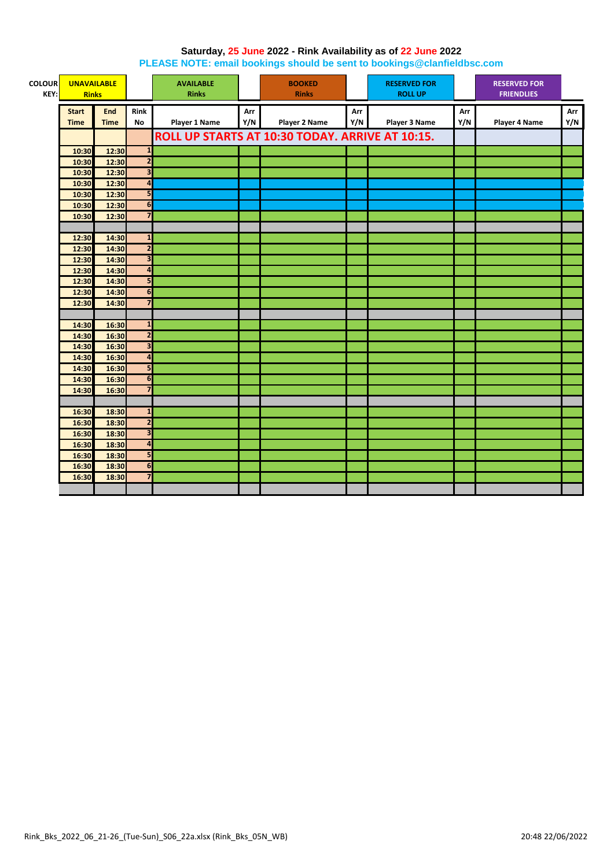## **Saturday, 25 June 2022 - Rink Availability as of 22 June 2022**

**PLEASE NOTE: email bookings should be sent to bookings@clanfieldbsc.com**

| <b>COLOUR</b><br>KEY: | <b>UNAVAILABLE</b><br><b>Rinks</b> |             |                         | <b>AVAILABLE</b><br><b>Rinks</b> |     | <b>BOOKED</b><br><b>Rinks</b>                   |     | <b>RESERVED FOR</b><br><b>ROLL UP</b> |     | <b>RESERVED FOR</b><br><b>FRIENDLIES</b> |     |
|-----------------------|------------------------------------|-------------|-------------------------|----------------------------------|-----|-------------------------------------------------|-----|---------------------------------------|-----|------------------------------------------|-----|
|                       |                                    |             |                         |                                  |     |                                                 |     |                                       |     |                                          |     |
|                       | <b>Start</b>                       | <b>End</b>  | <b>Rink</b>             |                                  | Arr |                                                 | Arr |                                       | Arr |                                          | Arr |
|                       | <b>Time</b>                        | <b>Time</b> | <b>No</b>               | <b>Player 1 Name</b>             | Y/N | <b>Player 2 Name</b>                            | Y/N | <b>Player 3 Name</b>                  | Y/N | <b>Player 4 Name</b>                     | Y/N |
|                       |                                    |             |                         |                                  |     | ROLL UP STARTS AT 10:30 TODAY. ARRIVE AT 10:15. |     |                                       |     |                                          |     |
|                       | 10:30                              | 12:30       | $\overline{\mathbf{1}}$ |                                  |     |                                                 |     |                                       |     |                                          |     |
|                       | 10:30                              | 12:30       | $\overline{2}$          |                                  |     |                                                 |     |                                       |     |                                          |     |
|                       | 10:30                              | 12:30       | $\overline{\mathbf{3}}$ |                                  |     |                                                 |     |                                       |     |                                          |     |
|                       | 10:30                              | 12:30       | $\overline{\mathbf{a}}$ |                                  |     |                                                 |     |                                       |     |                                          |     |
|                       | 10:30                              | 12:30       | 5                       |                                  |     |                                                 |     |                                       |     |                                          |     |
|                       | 10:30                              | 12:30       | $\overline{6}$          |                                  |     |                                                 |     |                                       |     |                                          |     |
|                       | 10:30                              | 12:30       | $\overline{7}$          |                                  |     |                                                 |     |                                       |     |                                          |     |
|                       |                                    |             |                         |                                  |     |                                                 |     |                                       |     |                                          |     |
|                       | 12:30                              | 14:30       | $\mathbf{1}$            |                                  |     |                                                 |     |                                       |     |                                          |     |
|                       | 12:30                              | 14:30       | $\overline{\mathbf{c}}$ |                                  |     |                                                 |     |                                       |     |                                          |     |
|                       | 12:30                              | 14:30       | $\overline{\mathbf{3}}$ |                                  |     |                                                 |     |                                       |     |                                          |     |
|                       | 12:30                              | 14:30       | $\overline{a}$          |                                  |     |                                                 |     |                                       |     |                                          |     |
|                       | 12:30                              | 14:30       | 5                       |                                  |     |                                                 |     |                                       |     |                                          |     |
|                       | 12:30                              | 14:30       | 6                       |                                  |     |                                                 |     |                                       |     |                                          |     |
|                       | 12:30                              | 14:30       | $\overline{7}$          |                                  |     |                                                 |     |                                       |     |                                          |     |
|                       |                                    |             |                         |                                  |     |                                                 |     |                                       |     |                                          |     |
|                       | 14:30                              | 16:30       | $\overline{1}$          |                                  |     |                                                 |     |                                       |     |                                          |     |
|                       | 14:30                              | 16:30       | $\overline{\mathbf{2}}$ |                                  |     |                                                 |     |                                       |     |                                          |     |
|                       | 14:30                              | 16:30       | $\overline{\mathbf{3}}$ |                                  |     |                                                 |     |                                       |     |                                          |     |
|                       | 14:30                              | 16:30       | $\overline{4}$          |                                  |     |                                                 |     |                                       |     |                                          |     |
|                       | 14:30                              | 16:30       | 5 <sub>1</sub>          |                                  |     |                                                 |     |                                       |     |                                          |     |
|                       | 14:30                              | 16:30       | $6\phantom{1}6$         |                                  |     |                                                 |     |                                       |     |                                          |     |
|                       | 14:30                              | 16:30       | $\overline{7}$          |                                  |     |                                                 |     |                                       |     |                                          |     |
|                       |                                    |             |                         |                                  |     |                                                 |     |                                       |     |                                          |     |
|                       | 16:30                              | 18:30       | $\mathbf{1}$            |                                  |     |                                                 |     |                                       |     |                                          |     |
|                       | 16:30                              | 18:30       | $\overline{2}$          |                                  |     |                                                 |     |                                       |     |                                          |     |
|                       | 16:30                              | 18:30       | $\overline{\mathbf{3}}$ |                                  |     |                                                 |     |                                       |     |                                          |     |
|                       | 16:30                              | 18:30       | $\overline{4}$          |                                  |     |                                                 |     |                                       |     |                                          |     |
|                       | 16:30                              | 18:30       | 5                       |                                  |     |                                                 |     |                                       |     |                                          |     |
|                       | 16:30                              | 18:30       | 6                       |                                  |     |                                                 |     |                                       |     |                                          |     |
|                       | 16:30                              | 18:30       | $\overline{7}$          |                                  |     |                                                 |     |                                       |     |                                          |     |
|                       |                                    |             |                         |                                  |     |                                                 |     |                                       |     |                                          |     |